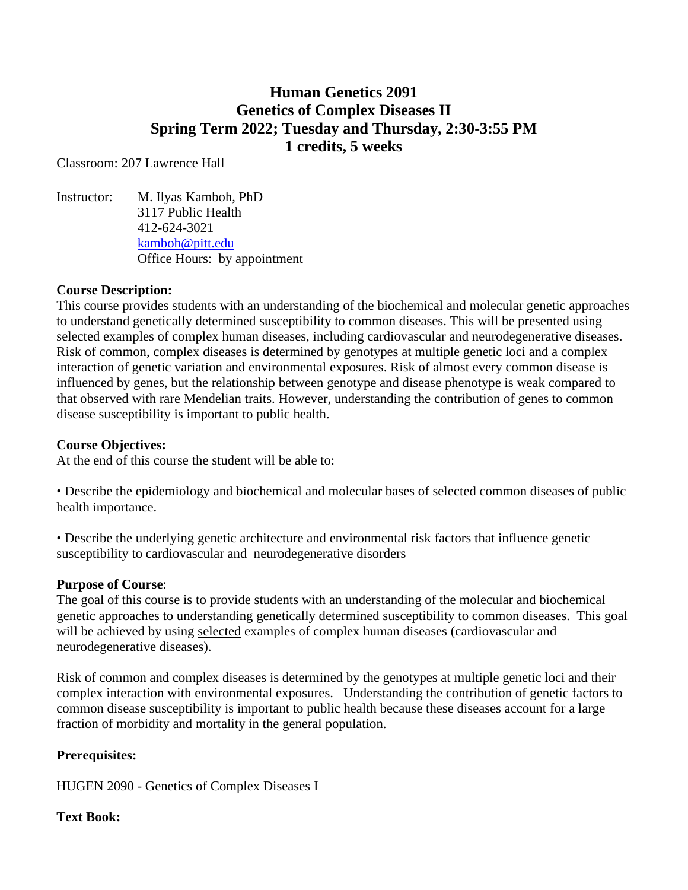# **Human Genetics 2091 Genetics of Complex Diseases II Spring Term 2022; Tuesday and Thursday, 2:30-3:55 PM 1 credits, 5 weeks**

Classroom: 207 Lawrence Hall

Instructor: M. Ilyas Kamboh, PhD 3117 Public Health 412-624-3021 [kamboh@pitt.edu](mailto:kamboh@pitt.edu) Office Hours: by appointment

## **Course Description:**

This course provides students with an understanding of the biochemical and molecular genetic approaches to understand genetically determined susceptibility to common diseases. This will be presented using selected examples of complex human diseases, including cardiovascular and neurodegenerative diseases. Risk of common, complex diseases is determined by genotypes at multiple genetic loci and a complex interaction of genetic variation and environmental exposures. Risk of almost every common disease is influenced by genes, but the relationship between genotype and disease phenotype is weak compared to that observed with rare Mendelian traits. However, understanding the contribution of genes to common disease susceptibility is important to public health.

#### **Course Objectives:**

At the end of this course the student will be able to:

• Describe the epidemiology and biochemical and molecular bases of selected common diseases of public health importance.

• Describe the underlying genetic architecture and environmental risk factors that influence genetic susceptibility to cardiovascular and neurodegenerative disorders

## **Purpose of Course**:

The goal of this course is to provide students with an understanding of the molecular and biochemical genetic approaches to understanding genetically determined susceptibility to common diseases. This goal will be achieved by using selected examples of complex human diseases (cardiovascular and neurodegenerative diseases).

Risk of common and complex diseases is determined by the genotypes at multiple genetic loci and their complex interaction with environmental exposures. Understanding the contribution of genetic factors to common disease susceptibility is important to public health because these diseases account for a large fraction of morbidity and mortality in the general population.

## **Prerequisites:**

HUGEN 2090 - Genetics of Complex Diseases I

## **Text Book:**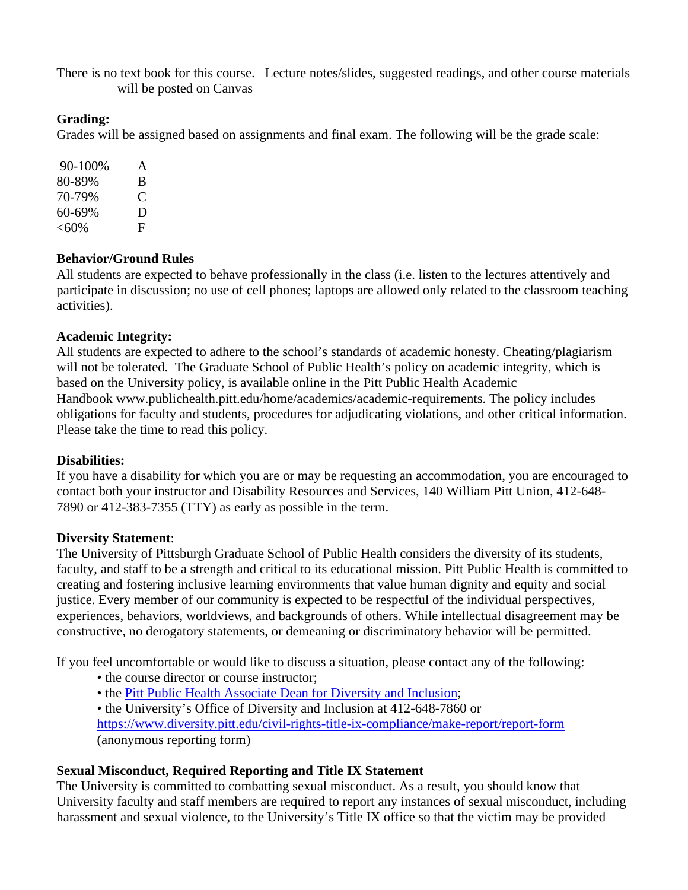There is no text book for this course. Lecture notes/slides, suggested readings, and other course materials will be posted on Canvas

# **Grading:**

Grades will be assigned based on assignments and final exam. The following will be the grade scale:

90-100% A 80-89% B 70-79% C 60-69% D  $< 60\%$  F

# **Behavior/Ground Rules**

All students are expected to behave professionally in the class (i.e. listen to the lectures attentively and participate in discussion; no use of cell phones; laptops are allowed only related to the classroom teaching activities).

# **Academic Integrity:**

All students are expected to adhere to the school's standards of academic honesty. Cheating/plagiarism will not be tolerated. The Graduate School of Public Health's policy on academic integrity, which is based on the University policy, is available online in the Pitt Public Health Academic Handbook [www.publichealth.pitt.edu/home/academics/academic-requirements.](https://na01.safelinks.protection.outlook.com/?url=http%3A%2F%2Fwww.publichealth.pitt.edu%2Fhome%2Facademics%2Facademic-requirements&data=01%7C01%7CRobin.Leaf%40pitt.edu%7Cd2b682f8df1344a1488b08d5f7078713%7C9ef9f489e0a04eeb87cc3a526112fd0d%7C1&sdata=6ufA2nSlUetTPqxC3zE70WlE7mLMvNKznCNB7nQHwj0%3D&reserved=0) The policy includes obligations for faculty and students, procedures for adjudicating violations, and other critical information. Please take the time to read this policy.

## **Disabilities:**

If you have a disability for which you are or may be requesting an accommodation, you are encouraged to contact both your instructor and Disability Resources and Services, 140 William Pitt Union, 412-648- 7890 or 412-383-7355 (TTY) as early as possible in the term.

# **Diversity Statement**:

The University of Pittsburgh Graduate School of Public Health considers the diversity of its students, faculty, and staff to be a strength and critical to its educational mission. Pitt Public Health is committed to creating and fostering inclusive learning environments that value human dignity and equity and social justice. Every member of our community is expected to be respectful of the individual perspectives, experiences, behaviors, worldviews, and backgrounds of others. While intellectual disagreement may be constructive, no derogatory statements, or demeaning or discriminatory behavior will be permitted.

If you feel uncomfortable or would like to discuss a situation, please contact any of the following:

- the course director or course instructor;
- the [Pitt Public Health Associate Dean for Diversity and Inclusion;](https://publichealth.pitt.edu/home/about/leadership)
- the University's Office of Diversity and Inclusion at 412-648-7860 or <https://www.diversity.pitt.edu/civil-rights-title-ix-compliance/make-report/report-form> (anonymous reporting form)

# **Sexual Misconduct, Required Reporting and Title IX Statement**

The University is committed to combatting sexual misconduct. As a result, you should know that University faculty and staff members are required to report any instances of sexual misconduct, including harassment and sexual violence, to the University's Title IX office so that the victim may be provided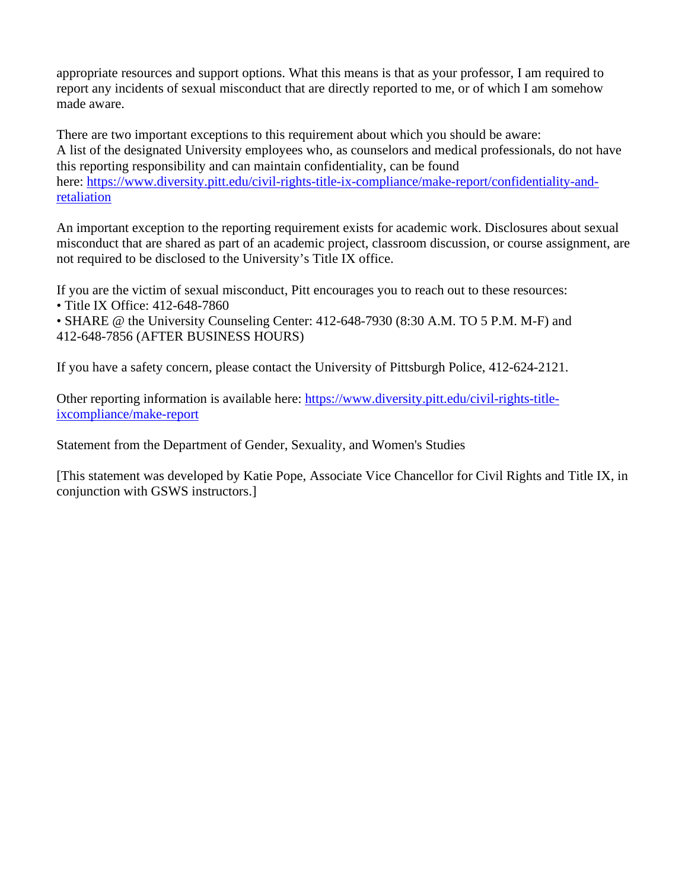appropriate resources and support options. What this means is that as your professor, I am required to report any incidents of sexual misconduct that are directly reported to me, or of which I am somehow made aware.

There are two important exceptions to this requirement about which you should be aware: A list of the designated University employees who, as counselors and medical professionals, do not have this reporting responsibility and can maintain confidentiality, can be found here: [https://www.diversity.pitt.edu/civil-rights-title-ix-compliance/make-report/confidentiality-and](https://www.diversity.pitt.edu/civil-rights-title-ix-compliance/make-report/confidentiality-and-retaliation)[retaliation](https://www.diversity.pitt.edu/civil-rights-title-ix-compliance/make-report/confidentiality-and-retaliation)

An important exception to the reporting requirement exists for academic work. Disclosures about sexual misconduct that are shared as part of an academic project, classroom discussion, or course assignment, are not required to be disclosed to the University's Title IX office.

If you are the victim of sexual misconduct, Pitt encourages you to reach out to these resources:

• Title IX Office: 412-648-7860

• SHARE @ the University Counseling Center: 412-648-7930 (8:30 A.M. TO 5 P.M. M-F) and 412-648-7856 (AFTER BUSINESS HOURS)

If you have a safety concern, please contact the University of Pittsburgh Police, 412-624-2121.

Other reporting information is available here: [https://www.diversity.pitt.edu/civil-rights-title](https://www.diversity.pitt.edu/civil-rights-title-ixcompliance/make-report)[ixcompliance/make-report](https://www.diversity.pitt.edu/civil-rights-title-ixcompliance/make-report)

Statement from the Department of Gender, Sexuality, and Women's Studies

[This statement was developed by Katie Pope, Associate Vice Chancellor for Civil Rights and Title IX, in conjunction with GSWS instructors.]